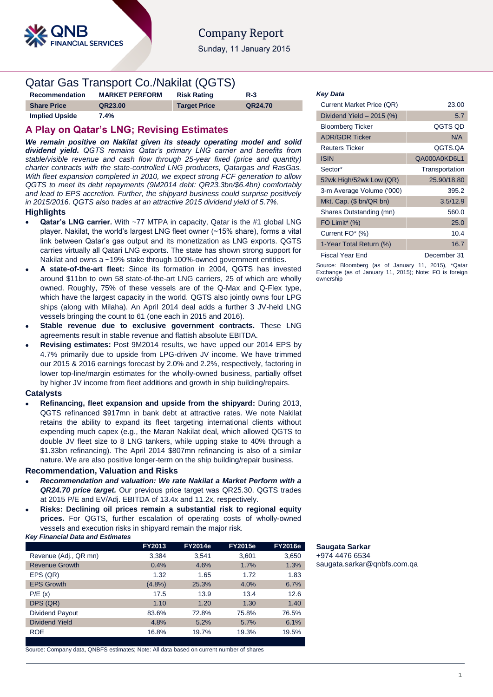

# **Company Report**

Sunday, 11 January 2015

# Qatar Gas Transport Co./Nakilat (QGTS)

| Recommendation        | <b>MARKET PERFORM</b> | <b>Risk Rating</b>  | $R-3$   |
|-----------------------|-----------------------|---------------------|---------|
| <b>Share Price</b>    | QR23.00               | <b>Target Price</b> | QR24.70 |
| <b>Implied Upside</b> | $7.4\%$               |                     |         |

## **A Play on Qatar's LNG; Revising Estimates**

*We remain positive on Nakilat given its steady operating model and solid dividend yield. QGTS remains Qatar's primary LNG carrier and benefits from stable/visible revenue and cash flow through 25-year fixed (price and quantity) charter contracts with the state-controlled LNG producers, Qatargas and RasGas. With fleet expansion completed in 2010, we expect strong FCF generation to allow QGTS to meet its debt repayments (9M2014 debt: QR23.3bn/\$6.4bn) comfortably and lead to EPS accretion. Further, the shipyard business could surprise positively in 2015/2016. QGTS also trades at an attractive 2015 dividend yield of 5.7%.*

## **Highlights**

- **Qatar's LNG carrier.** With ~77 MTPA in capacity, Qatar is the #1 global LNG player. Nakilat, the world's largest LNG fleet owner (~15% share), forms a vital link between Qatar's gas output and its monetization as LNG exports. QGTS carries virtually all Qatari LNG exports. The state has shown strong support for Nakilat and owns a ~19% stake through 100%-owned government entities.
- **A state-of-the-art fleet:** Since its formation in 2004, QGTS has invested around \$11bn to own 58 state-of-the-art LNG carriers, 25 of which are wholly owned. Roughly, 75% of these vessels are of the Q-Max and Q-Flex type, which have the largest capacity in the world. QGTS also jointly owns four LPG ships (along with Milaha). An April 2014 deal adds a further 3 JV-held LNG vessels bringing the count to 61 (one each in 2015 and 2016).
- **Stable revenue due to exclusive government contracts.** These LNG agreements result in stable revenue and flattish absolute EBITDA.
- **Revising estimates:** Post 9M2014 results, we have upped our 2014 EPS by 4.7% primarily due to upside from LPG-driven JV income. We have trimmed our 2015 & 2016 earnings forecast by 2.0% and 2.2%, respectively, factoring in lower top-line/margin estimates for the wholly-owned business, partially offset by higher JV income from fleet additions and growth in ship building/repairs.

## **Catalysts**

 **Refinancing, fleet expansion and upside from the shipyard:** During 2013, QGTS refinanced \$917mn in bank debt at attractive rates. We note Nakilat retains the ability to expand its fleet targeting international clients without expending much capex (e.g., the Maran Nakilat deal, which allowed QGTS to double JV fleet size to 8 LNG tankers, while upping stake to 40% through a \$1.33bn refinancing). The April 2014 \$807mn refinancing is also of a similar nature. We are also positive longer-term on the ship building/repair business.

## **Recommendation, Valuation and Risks**

- *Recommendation and valuation: We rate Nakilat a Market Perform with a QR24.70 price target.* Our previous price target was QR25.30. QGTS trades at 2015 P/E and EV/Adj. EBITDA of 13.4x and 11.2x, respectively.
- **Risks: Declining oil prices remain a substantial risk to regional equity prices.** For QGTS, further escalation of operating costs of wholly-owned vessels and execution risks in shipyard remain the major risk.

|  |  | <b>Key Financial Data and Estimates</b> |
|--|--|-----------------------------------------|
|  |  |                                         |

|                       | FY2013    | <b>FY2014e</b> | <b>FY2015e</b> | <b>FY2016e</b> |
|-----------------------|-----------|----------------|----------------|----------------|
| Revenue (Adj., QR mn) | 3,384     | 3,541          | 3,601          | 3,650          |
| <b>Revenue Growth</b> | 0.4%      | 4.6%           | 1.7%           | 1.3%           |
| EPS (QR)              | 1.32      | 1.65           | 1.72           | 1.83           |
| <b>EPS Growth</b>     | $(4.8\%)$ | 25.3%          | 4.0%           | 6.7%           |
| P/E(x)                | 17.5      | 13.9           | 13.4           | 12.6           |
| DPS (QR)              | 1.10      | 1.20           | 1.30           | 1.40           |
| Dividend Payout       | 83.6%     | 72.8%          | 75.8%          | 76.5%          |
| Dividend Yield        | 4.8%      | 5.2%           | 5.7%           | 6.1%           |
| <b>ROE</b>            | 16.8%     | 19.7%          | 19.3%          | 19.5%          |

Source: Company data, QNBFS estimates; Note: All data based on current number of shares

## *Key Data*

| Current Market Price (QR)  | 23.00          |
|----------------------------|----------------|
| Dividend Yield $-2015$ (%) | 5.7            |
| <b>Bloomberg Ticker</b>    | QGTS QD        |
| <b>ADR/GDR Ticker</b>      | N/A            |
| <b>Reuters Ticker</b>      | QGTS.QA        |
| <b>ISIN</b>                | QA000A0KD6L1   |
| Sector*                    | Transportation |
| 52wk High/52wk Low (QR)    | 25.90/18.80    |
| 3-m Average Volume ('000)  | 395.2          |
| Mkt. Cap. $(\$~bn/QR~bn)$  | 3.5/12.9       |
| Shares Outstanding (mn)    | 560.0          |
| FO Limit* (%)              | 25.0           |
| Current FO* (%)            | 10.4           |
| 1-Year Total Return (%)    | 16.7           |
| Fiscal Year End            | December 31    |

Source: Bloomberg (as of January 11, 2015), \*Qatar Exchange (as of January 11, 2015); Note: FO is foreign ownership

# **Saugata Sarkar**

+974 4476 6534 [saugata.sarkar@qnbfs.com.qa](mailto:saugata.sarkar@qnbfs.com.qa)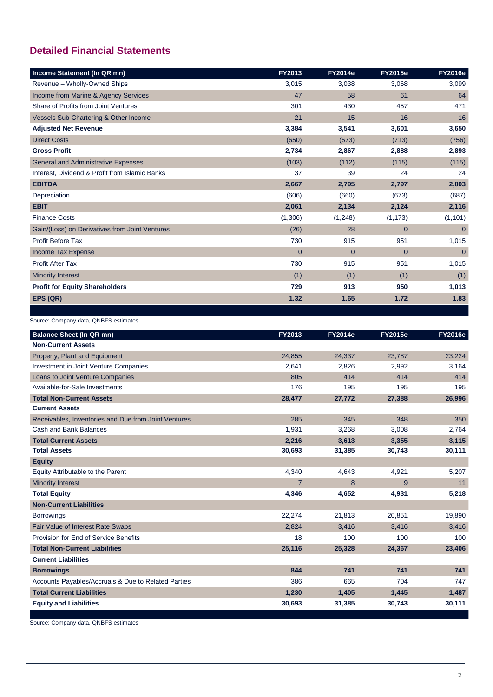# **Detailed Financial Statements**

| Income Statement (In QR mn)                    | FY2013         | <b>FY2014e</b> | <b>FY2015e</b> | <b>FY2016e</b> |
|------------------------------------------------|----------------|----------------|----------------|----------------|
| Revenue - Wholly-Owned Ships                   | 3,015          | 3,038          | 3,068          | 3,099          |
| Income from Marine & Agency Services           | 47             | 58             | 61             | 64             |
| Share of Profits from Joint Ventures           | 301            | 430            | 457            | 471            |
| Vessels Sub-Chartering & Other Income          | 21             | 15             | 16             | 16             |
| <b>Adjusted Net Revenue</b>                    | 3,384          | 3,541          | 3,601          | 3,650          |
| <b>Direct Costs</b>                            | (650)          | (673)          | (713)          | (756)          |
| <b>Gross Profit</b>                            | 2,734          | 2,867          | 2,888          | 2,893          |
| <b>General and Administrative Expenses</b>     | (103)          | (112)          | (115)          | (115)          |
| Interest, Dividend & Profit from Islamic Banks | 37             | 39             | 24             | 24             |
| <b>EBITDA</b>                                  | 2,667          | 2,795          | 2,797          | 2,803          |
| Depreciation                                   | (606)          | (660)          | (673)          | (687)          |
| <b>EBIT</b>                                    | 2,061          | 2,134          | 2,124          | 2,116          |
| <b>Finance Costs</b>                           | (1,306)        | (1,248)        | (1, 173)       | (1, 101)       |
| Gain/(Loss) on Derivatives from Joint Ventures | (26)           | 28             | $\overline{0}$ | $\overline{0}$ |
| <b>Profit Before Tax</b>                       | 730            | 915            | 951            | 1,015          |
| Income Tax Expense                             | $\overline{0}$ | $\overline{0}$ | $\overline{0}$ | $\overline{0}$ |
| <b>Profit After Tax</b>                        | 730            | 915            | 951            | 1,015          |
| <b>Minority Interest</b>                       | (1)            | (1)            | (1)            | (1)            |
| <b>Profit for Equity Shareholders</b>          | 729            | 913            | 950            | 1,013          |
| EPS (QR)                                       | 1.32           | 1.65           | 1.72           | 1.83           |
|                                                |                |                |                |                |

## Source: Company data, QNBFS estimates

| <b>Balance Sheet (In QR mn)</b>                      | <b>FY2013</b>  | <b>FY2014e</b> | <b>FY2015e</b> | <b>FY2016e</b> |
|------------------------------------------------------|----------------|----------------|----------------|----------------|
| <b>Non-Current Assets</b>                            |                |                |                |                |
| Property, Plant and Equipment                        | 24,855         | 24,337         | 23,787         | 23,224         |
| Investment in Joint Venture Companies                | 2,641          | 2,826          | 2,992          | 3,164          |
| Loans to Joint Venture Companies                     | 805            | 414            | 414            | 414            |
| Available-for-Sale Investments                       | 176            | 195            | 195            | 195            |
| <b>Total Non-Current Assets</b>                      | 28,477         | 27,772         | 27,388         | 26,996         |
| <b>Current Assets</b>                                |                |                |                |                |
| Receivables, Inventories and Due from Joint Ventures | 285            | 345            | 348            | 350            |
| Cash and Bank Balances                               | 1,931          | 3,268          | 3,008          | 2,764          |
| <b>Total Current Assets</b>                          | 2,216          | 3,613          | 3,355          | 3,115          |
| <b>Total Assets</b>                                  | 30,693         | 31,385         | 30,743         | 30,111         |
| <b>Equity</b>                                        |                |                |                |                |
| Equity Attributable to the Parent                    | 4,340          | 4,643          | 4,921          | 5,207          |
| <b>Minority Interest</b>                             | $\overline{7}$ | 8              | 9              | 11             |
| <b>Total Equity</b>                                  | 4,346          | 4,652          | 4,931          | 5,218          |
| <b>Non-Current Liabilities</b>                       |                |                |                |                |
| <b>Borrowings</b>                                    | 22,274         | 21,813         | 20,851         | 19,890         |
| Fair Value of Interest Rate Swaps                    | 2,824          | 3,416          | 3,416          | 3,416          |
| Provision for End of Service Benefits                | 18             | 100            | 100            | 100            |
| <b>Total Non-Current Liabilities</b>                 | 25,116         | 25,328         | 24,367         | 23,406         |
| <b>Current Liabilities</b>                           |                |                |                |                |
| <b>Borrowings</b>                                    | 844            | 741            | 741            | 741            |
| Accounts Payables/Accruals & Due to Related Parties  | 386            | 665            | 704            | 747            |
| <b>Total Current Liabilities</b>                     | 1,230          | 1,405          | 1,445          | 1,487          |
| <b>Equity and Liabilities</b>                        | 30,693         | 31,385         | 30,743         | 30,111         |

Source: Company data, QNBFS estimates